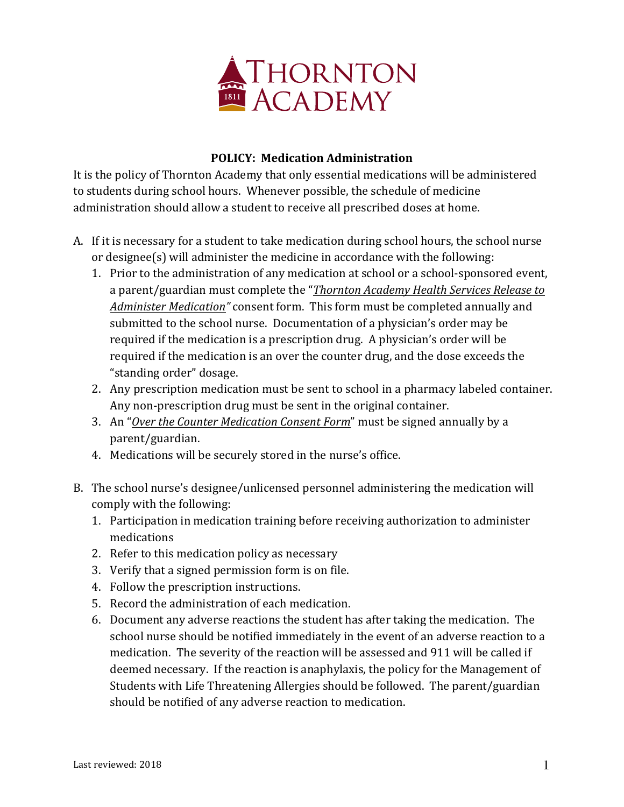

## **POLICY: Medication Administration**

It is the policy of Thornton Academy that only essential medications will be administered to students during school hours. Whenever possible, the schedule of medicine administration should allow a student to receive all prescribed doses at home.

- A. If it is necessary for a student to take medication during school hours, the school nurse or designee $(s)$  will administer the medicine in accordance with the following:
	- 1. Prior to the administration of any medication at school or a school-sponsored event, a parent/guardian must complete the "*Thornton Academy Health Services Release to Administer Medication"* consent form. This form must be completed annually and submitted to the school nurse. Documentation of a physician's order may be required if the medication is a prescription drug. A physician's order will be required if the medication is an over the counter drug, and the dose exceeds the "standing order" dosage.
	- 2. Any prescription medication must be sent to school in a pharmacy labeled container. Any non-prescription drug must be sent in the original container.
	- 3. An "Over the Counter Medication Consent Form" must be signed annually by a parent/guardian.
	- 4. Medications will be securely stored in the nurse's office.
- B. The school nurse's designee/unlicensed personnel administering the medication will comply with the following:
	- 1. Participation in medication training before receiving authorization to administer medications
	- 2. Refer to this medication policy as necessary
	- 3. Verify that a signed permission form is on file.
	- 4. Follow the prescription instructions.
	- 5. Record the administration of each medication.
	- 6. Document any adverse reactions the student has after taking the medication. The school nurse should be notified immediately in the event of an adverse reaction to a medication. The severity of the reaction will be assessed and 911 will be called if deemed necessary. If the reaction is anaphylaxis, the policy for the Management of Students with Life Threatening Allergies should be followed. The parent/guardian should be notified of any adverse reaction to medication.